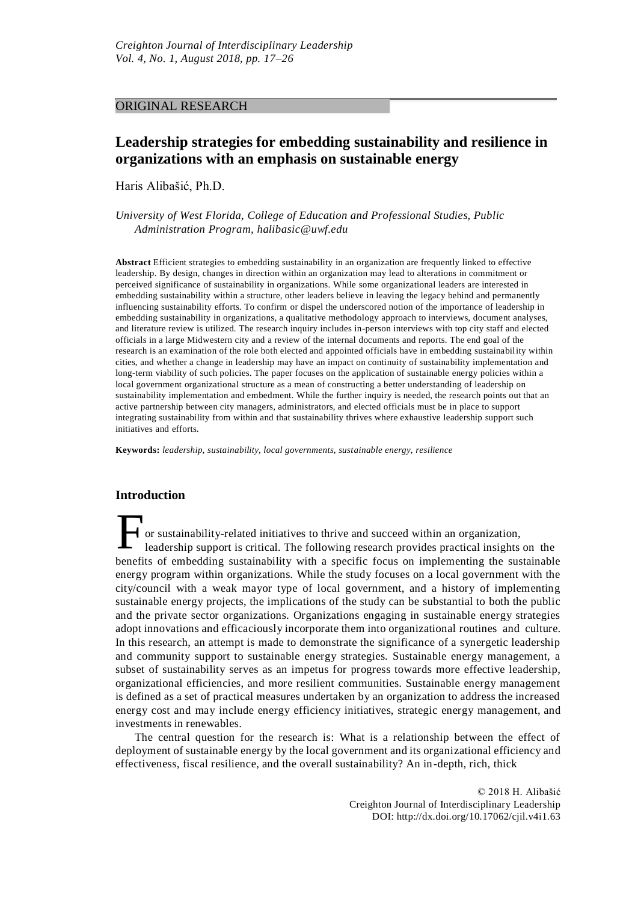# ORIGINAL RESEARCH

# **Leadership strategies for embedding sustainability and resilience in organizations with an emphasis on sustainable energy**

Haris Alibašić, Ph.D.

*University of West Florida, College of Education and Professional Studies, Public Administration Program, [halibasic@uwf.edu](mailto:halibasic@uwf.edu)*

**Abstract** Efficient strategies to embedding sustainability in an organization are frequently linked to effective leadership. By design, changes in direction within an organization may lead to alterations in commitment or perceived significance of sustainability in organizations. While some organizational leaders are interested in embedding sustainability within a structure, other leaders believe in leaving the legacy behind and permanently influencing sustainability efforts. To confirm or dispel the underscored notion of the importance of leadership in embedding sustainability in organizations, a qualitative methodology approach to interviews, document analyses, and literature review is utilized. The research inquiry includes in-person interviews with top city staff and elected officials in a large Midwestern city and a review of the internal documents and reports. The end goal of the research is an examination of the role both elected and appointed officials have in embedding sustainability within cities, and whether a change in leadership may have an impact on continuity of sustainability implementation and long-term viability of such policies. The paper focuses on the application of sustainable energy policies within a local government organizational structure as a mean of constructing a better understanding of leadership on sustainability implementation and embedment. While the further inquiry is needed, the research points out that an active partnership between city managers, administrators, and elected officials must be in place to support integrating sustainability from within and that sustainability thrives where exhaustive leadership support such initiatives and efforts.

**Keywords:** *leadership, sustainability, local governments, sustainable energy, resilience*

# **Introduction**

F or sustainability-related initiatives to thrive and succeed within an organization, leadership support is critical. The following research provides practical insights on the benefits of embedding sustainability with a specific focus on implementing the sustainable energy program within organizations. While the study focuses on a local government with the city/council with a weak mayor type of local government, and a history of implementing sustainable energy projects, the implications of the study can be substantial to both the public and the private sector organizations. Organizations engaging in sustainable energy strategies adopt innovations and efficaciously incorporate them into organizational routines and culture. In this research, an attempt is made to demonstrate the significance of a synergetic leadership and community support to sustainable energy strategies. Sustainable energy management, a subset of sustainability serves as an impetus for progress towards more effective leadership, organizational efficiencies, and more resilient communities. Sustainable energy management is defined as a set of practical measures undertaken by an organization to address the increased energy cost and may include energy efficiency initiatives, strategic energy management, and investments in renewables.

The central question for the research is: What is a relationship between the effect of deployment of sustainable energy by the local government and its organizational efficiency and effectiveness, fiscal resilience, and the overall sustainability? An in-depth, rich, thick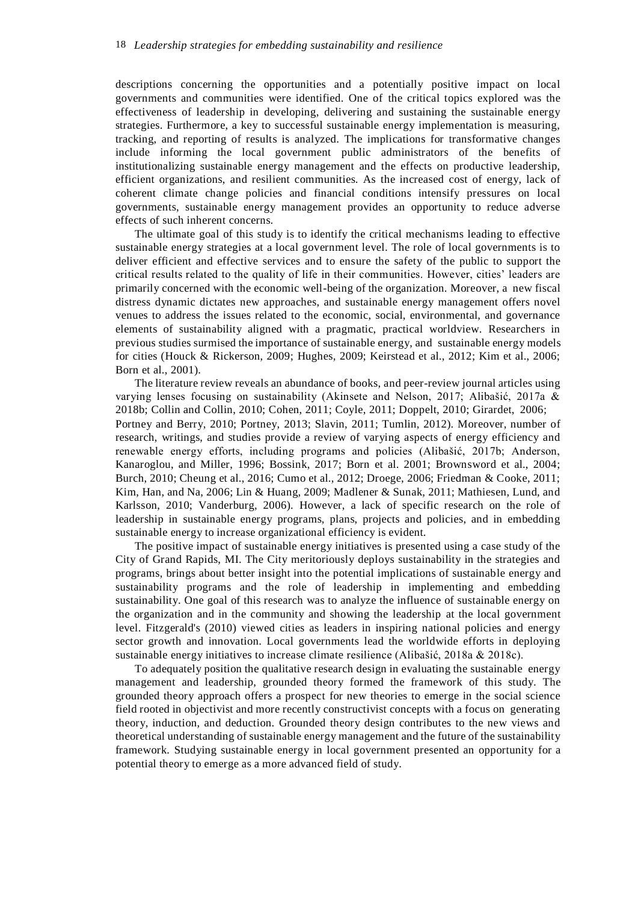descriptions concerning the opportunities and a potentially positive impact on local governments and communities were identified. One of the critical topics explored was the effectiveness of leadership in developing, delivering and sustaining the sustainable energy strategies. Furthermore, a key to successful sustainable energy implementation is measuring, tracking, and reporting of results is analyzed. The implications for transformative changes include informing the local government public administrators of the benefits of institutionalizing sustainable energy management and the effects on productive leadership, efficient organizations, and resilient communities. As the increased cost of energy, lack of coherent climate change policies and financial conditions intensify pressures on local governments, sustainable energy management provides an opportunity to reduce adverse effects of such inherent concerns.

The ultimate goal of this study is to identify the critical mechanisms leading to effective sustainable energy strategies at a local government level. The role of local governments is to deliver efficient and effective services and to ensure the safety of the public to support the critical results related to the quality of life in their communities. However, cities' leaders are primarily concerned with the economic well-being of the organization. Moreover, a new fiscal distress dynamic dictates new approaches, and sustainable energy management offers novel venues to address the issues related to the economic, social, environmental, and governance elements of sustainability aligned with a pragmatic, practical worldview. Researchers in previous studies surmised the importance of sustainable energy, and sustainable energy models for cities (Houck & Rickerson, 2009; Hughes, 2009; Keirstead et al., 2012; Kim et al., 2006; Born et al., 2001).

The literature review reveals an abundance of books, and peer-review journal articles using varying lenses focusing on sustainability (Akinsete and Nelson, 2017; Alibašić, 2017a & 2018b; Collin and Collin, 2010; Cohen, 2011; Coyle, 2011; Doppelt, 2010; Girardet, 2006; Portney and Berry, 2010; Portney, 2013; Slavin, 2011; Tumlin, 2012). Moreover, number of research, writings, and studies provide a review of varying aspects of energy efficiency and renewable energy efforts, including programs and policies (Alibašić, 2017b; Anderson, Kanaroglou, and Miller, 1996; Bossink, 2017; Born et al. 2001; Brownsword et al., 2004; Burch, 2010; Cheung et al., 2016; Cumo et al., 2012; Droege, 2006; Friedman & Cooke, 2011; Kim, Han, and Na, 2006; Lin & Huang, 2009; Madlener & Sunak, 2011; Mathiesen, Lund, and Karlsson, 2010; Vanderburg, 2006). However, a lack of specific research on the role of leadership in sustainable energy programs, plans, projects and policies, and in embedding sustainable energy to increase organizational efficiency is evident.

The positive impact of sustainable energy initiatives is presented using a case study of the City of Grand Rapids, MI. The City meritoriously deploys sustainability in the strategies and programs, brings about better insight into the potential implications of sustainable energy and sustainability programs and the role of leadership in implementing and embedding sustainability. One goal of this research was to analyze the influence of sustainable energy on the organization and in the community and showing the leadership at the local government level. Fitzgerald's (2010) viewed cities as leaders in inspiring national policies and energy sector growth and innovation. Local governments lead the worldwide efforts in deploying sustainable energy initiatives to increase climate resilience (Alibašić, 2018a & 2018c).

To adequately position the qualitative research design in evaluating the sustainable energy management and leadership, grounded theory formed the framework of this study. The grounded theory approach offers a prospect for new theories to emerge in the social science field rooted in objectivist and more recently constructivist concepts with a focus on generating theory, induction, and deduction. Grounded theory design contributes to the new views and theoretical understanding of sustainable energy management and the future of the sustainability framework. Studying sustainable energy in local government presented an opportunity for a potential theory to emerge as a more advanced field of study.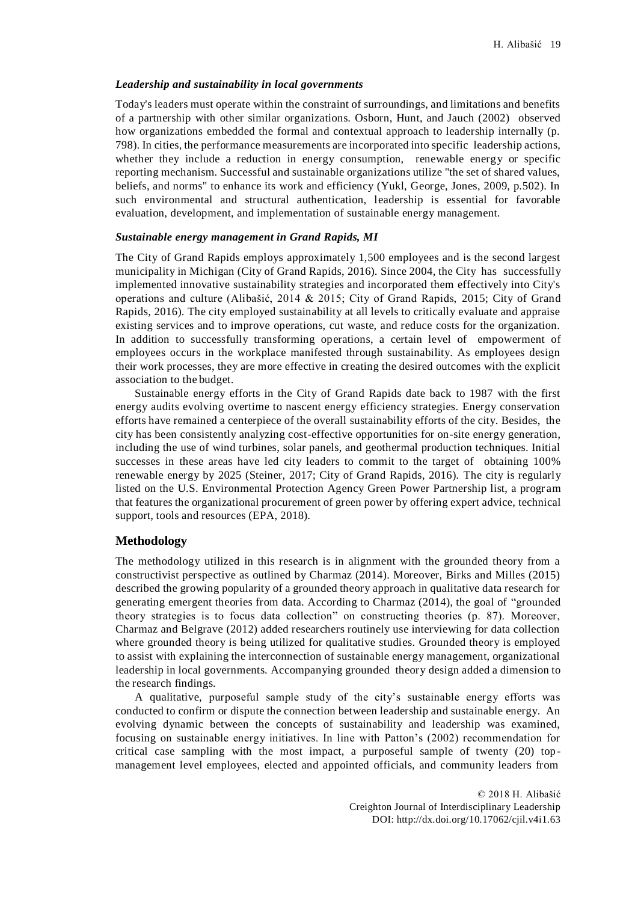#### *Leadership and sustainability in local governments*

Today's leaders must operate within the constraint of surroundings, and limitations and benefits of a partnership with other similar organizations. Osborn, Hunt, and Jauch (2002) observed how organizations embedded the formal and contextual approach to leadership internally (p. 798). In cities, the performance measurements are incorporated into specific leadership actions, whether they include a reduction in energy consumption, renewable energy or specific reporting mechanism. Successful and sustainable organizations utilize "the set of shared values, beliefs, and norms" to enhance its work and efficiency (Yukl, George, Jones, 2009, p.502). In such environmental and structural authentication, leadership is essential for favorable evaluation, development, and implementation of sustainable energy management.

#### *Sustainable energy management in Grand Rapids, MI*

The City of Grand Rapids employs approximately 1,500 employees and is the second largest municipality in Michigan (City of Grand Rapids, 2016). Since 2004, the City has successfully implemented innovative sustainability strategies and incorporated them effectively into City's operations and culture (Alibašić, 2014 & 2015; City of Grand Rapids, 2015; City of Grand Rapids, 2016). The city employed sustainability at all levels to critically evaluate and appraise existing services and to improve operations, cut waste, and reduce costs for the organization. In addition to successfully transforming operations, a certain level of empowerment of employees occurs in the workplace manifested through sustainability. As employees design their work processes, they are more effective in creating the desired outcomes with the explicit association to the budget.

Sustainable energy efforts in the City of Grand Rapids date back to 1987 with the first energy audits evolving overtime to nascent energy efficiency strategies. Energy conservation efforts have remained a centerpiece of the overall sustainability efforts of the city. Besides, the city has been consistently analyzing cost-effective opportunities for on-site energy generation, including the use of wind turbines, solar panels, and geothermal production techniques. Initial successes in these areas have led city leaders to commit to the target of obtaining 100% renewable energy by 2025 (Steiner, 2017; City of Grand Rapids, 2016). The city is regularly listed on the U.S. Environmental Protection Agency Green Power Partnership list, a progr am that features the organizational procurement of green power by offering expert advice, technical support, tools and resources (EPA, 2018).

#### **Methodology**

The methodology utilized in this research is in alignment with the grounded theory from a constructivist perspective as outlined by Charmaz (2014). Moreover, Birks and Milles (2015) described the growing popularity of a grounded theory approach in qualitative data research for generating emergent theories from data. According to Charmaz (2014), the goal of "grounded theory strategies is to focus data collection" on constructing theories (p. 87). Moreover, Charmaz and Belgrave (2012) added researchers routinely use interviewing for data collection where grounded theory is being utilized for qualitative studies. Grounded theory is employed to assist with explaining the interconnection of sustainable energy management, organizational leadership in local governments. Accompanying grounded theory design added a dimension to the research findings.

A qualitative, purposeful sample study of the city's sustainable energy efforts was conducted to confirm or dispute the connection between leadership and sustainable energy. An evolving dynamic between the concepts of sustainability and leadership was examined, focusing on sustainable energy initiatives. In line with Patton's (2002) recommendation for critical case sampling with the most impact, a purposeful sample of twenty (20) top management level employees, elected and appointed officials, and community leaders from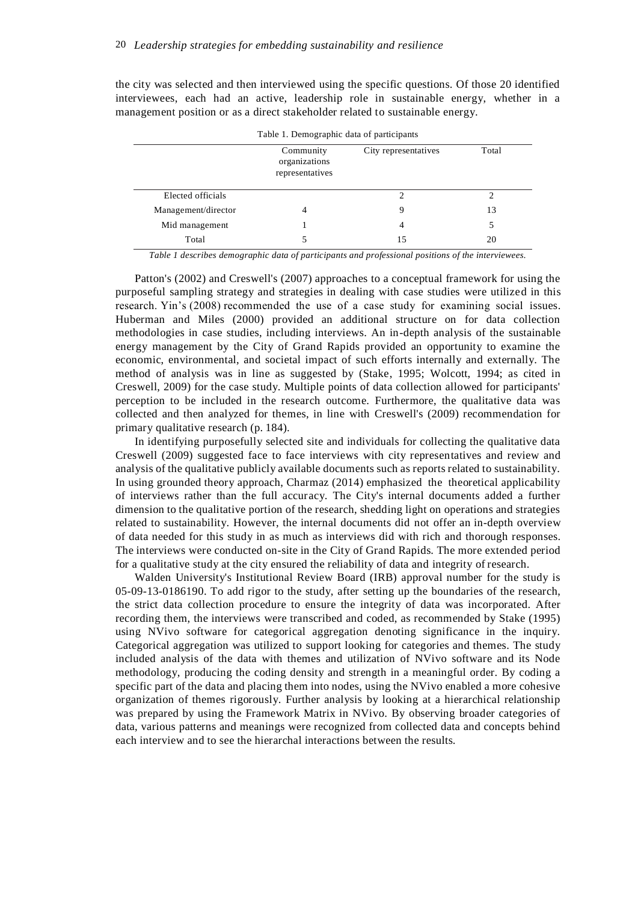the city was selected and then interviewed using the specific questions. Of those 20 identified interviewees, each had an active, leadership role in sustainable energy, whether in a management position or as a direct stakeholder related to sustainable energy.

| Table 1. Demographic data of participants |                                               |                      |       |  |  |  |  |
|-------------------------------------------|-----------------------------------------------|----------------------|-------|--|--|--|--|
|                                           | Community<br>organizations<br>representatives | City representatives | Total |  |  |  |  |
| Elected officials                         |                                               |                      |       |  |  |  |  |
| Management/director                       | 4                                             | 9                    | 13    |  |  |  |  |
| Mid management                            |                                               | 4                    |       |  |  |  |  |
| Total                                     |                                               | 15                   | 20    |  |  |  |  |

| Table 1. Demographic data of participants |  |  |  |
|-------------------------------------------|--|--|--|
|                                           |  |  |  |

*Table 1 describes demographic data of participants and professional positions of the interviewees.*

Patton's (2002) and Creswell's (2007) approaches to a conceptual framework for using the purposeful sampling strategy and strategies in dealing with case studies were utilized in this research. Yin's (2008) recommended the use of a case study for examining social issues. Huberman and Miles (2000) provided an additional structure on for data collection methodologies in case studies, including interviews. An in-depth analysis of the sustainable energy management by the City of Grand Rapids provided an opportunity to examine the economic, environmental, and societal impact of such efforts internally and externally. The method of analysis was in line as suggested by (Stake, 1995; Wolcott, 1994; as cited in Creswell, 2009) for the case study. Multiple points of data collection allowed for participants' perception to be included in the research outcome. Furthermore, the qualitative data was collected and then analyzed for themes, in line with Creswell's (2009) recommendation for primary qualitative research (p. 184).

In identifying purposefully selected site and individuals for collecting the qualitative data Creswell (2009) suggested face to face interviews with city representatives and review and analysis of the qualitative publicly available documents such as reports related to sustainability. In using grounded theory approach, Charmaz (2014) emphasized the theoretical applicability of interviews rather than the full accuracy. The City's internal documents added a further dimension to the qualitative portion of the research, shedding light on operations and strategies related to sustainability. However, the internal documents did not offer an in-depth overview of data needed for this study in as much as interviews did with rich and thorough responses. The interviews were conducted on-site in the City of Grand Rapids. The more extended period for a qualitative study at the city ensured the reliability of data and integrity of research.

Walden University's Institutional Review Board (IRB) approval number for the study is 05-09-13-0186190. To add rigor to the study, after setting up the boundaries of the research, the strict data collection procedure to ensure the integrity of data was incorporated. After recording them, the interviews were transcribed and coded, as recommended by Stake (1995) using NVivo software for categorical aggregation denoting significance in the inquiry. Categorical aggregation was utilized to support looking for categories and themes. The study included analysis of the data with themes and utilization of NVivo software and its Node methodology, producing the coding density and strength in a meaningful order. By coding a specific part of the data and placing them into nodes, using the NVivo enabled a more cohesive organization of themes rigorously. Further analysis by looking at a hierarchical relationship was prepared by using the Framework Matrix in NVivo. By observing broader categories of data, various patterns and meanings were recognized from collected data and concepts behind each interview and to see the hierarchal interactions between the results.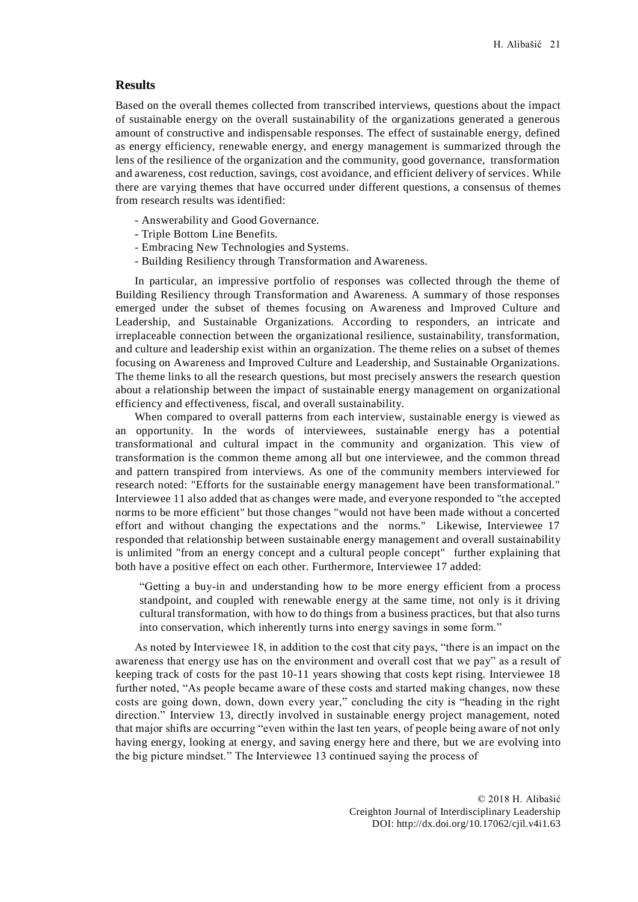### **Results**

Based on the overall themes collected from transcribed interviews, questions about the impact of sustainable energy on the overall sustainability of the organizations generated a generous amount of constructive and indispensable responses. The effect of sustainable energy, defined as energy efficiency, renewable energy, and energy management is summarized through the lens of the resilience of the organization and the community, good governance, transformation and awareness, cost reduction, savings, cost avoidance, and efficient delivery of services. While there are varying themes that have occurred under different questions, a consensus of themes from research results was identified:

- Answerability and Good Governance.
- Triple Bottom Line Benefits.
- Embracing New Technologies and Systems.
- Building Resiliency through Transformation and Awareness.

In particular, an impressive portfolio of responses was collected through the theme of Building Resiliency through Transformation and Awareness. A summary of those responses emerged under the subset of themes focusing on Awareness and Improved Culture and Leadership, and Sustainable Organizations. According to responders, an intricate and irreplaceable connection between the organizational resilience, sustainability, transformation, and culture and leadership exist within an organization. The theme relies on a subset of themes focusing on Awareness and Improved Culture and Leadership, and Sustainable Organizations. The theme links to all the research questions, but most precisely answers the research question about a relationship between the impact of sustainable energy management on organizational efficiency and effectiveness, fiscal, and overall sustainability.

When compared to overall patterns from each interview, sustainable energy is viewed as an opportunity. In the words of interviewees, sustainable energy has a potential transformational and cultural impact in the community and organization. This view of transformation is the common theme among all but one interviewee, and the common thread and pattern transpired from interviews. As one of the community members interviewed for research noted: "Efforts for the sustainable energy management have been transformational." Interviewee 11 also added that as changes were made, and everyone responded to "the accepted norms to be more efficient" but those changes "would not have been made without a concerted effort and without changing the expectations and the norms." Likewise, Interviewee 17 responded that relationship between sustainable energy management and overall sustainability is unlimited "from an energy concept and a cultural people concept" further explaining that both have a positive effect on each other. Furthermore, Interviewee 17 added:

"Getting a buy-in and understanding how to be more energy efficient from a process standpoint, and coupled with renewable energy at the same time, not only is it driving cultural transformation, with how to do things from a business practices, but that also turns into conservation, which inherently turns into energy savings in some form."

As noted by Interviewee 18, in addition to the cost that city pays, "there is an impact on the awareness that energy use has on the environment and overall cost that we pay" as a result of keeping track of costs for the past 10-11 years showing that costs kept rising. Interviewee 18 further noted, "As people became aware of these costs and started making changes, now these costs are going down, down, down every year," concluding the city is "heading in the right direction." Interview 13, directly involved in sustainable energy project management, noted that major shifts are occurring "even within the last ten years, of people being aware of not only having energy, looking at energy, and saving energy here and there, but we are evolving into the big picture mindset." The Interviewee 13 continued saying the process of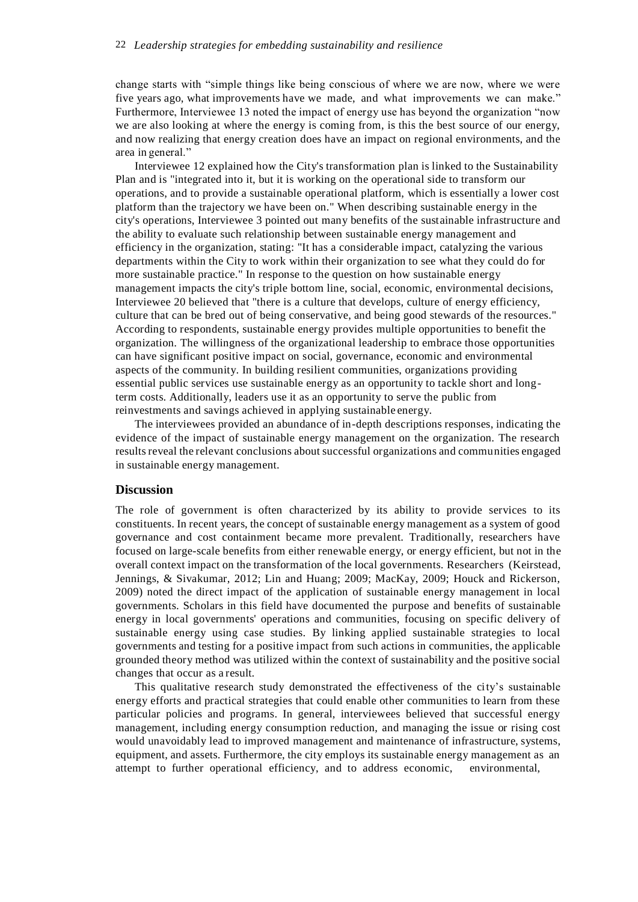### 22 *Leadership strategies for embedding sustainability and resilience*

change starts with "simple things like being conscious of where we are now, where we were five years ago, what improvements have we made, and what improvements we can make." Furthermore, Interviewee 13 noted the impact of energy use has beyond the organization "now we are also looking at where the energy is coming from, is this the best source of our energy, and now realizing that energy creation does have an impact on regional environments, and the area in general."

Interviewee 12 explained how the City's transformation plan is linked to the Sustainability Plan and is "integrated into it, but it is working on the operational side to transform our operations, and to provide a sustainable operational platform, which is essentially a lower cost platform than the trajectory we have been on." When describing sustainable energy in the city's operations, Interviewee 3 pointed out many benefits of the sustainable infrastructure and the ability to evaluate such relationship between sustainable energy management and efficiency in the organization, stating: "It has a considerable impact, catalyzing the various departments within the City to work within their organization to see what they could do for more sustainable practice." In response to the question on how sustainable energy management impacts the city's triple bottom line, social, economic, environmental decisions, Interviewee 20 believed that "there is a culture that develops, culture of energy efficiency, culture that can be bred out of being conservative, and being good stewards of the resources." According to respondents, sustainable energy provides multiple opportunities to benefit the organization. The willingness of the organizational leadership to embrace those opportunities can have significant positive impact on social, governance, economic and environmental aspects of the community. In building resilient communities, organizations providing essential public services use sustainable energy as an opportunity to tackle short and longterm costs. Additionally, leaders use it as an opportunity to serve the public from reinvestments and savings achieved in applying sustainable energy.

The interviewees provided an abundance of in-depth descriptions responses, indicating the evidence of the impact of sustainable energy management on the organization. The research results reveal the relevant conclusions about successful organizations and communities engaged in sustainable energy management.

# **Discussion**

The role of government is often characterized by its ability to provide services to its constituents. In recent years, the concept of sustainable energy management as a system of good governance and cost containment became more prevalent. Traditionally, researchers have focused on large-scale benefits from either renewable energy, or energy efficient, but not in the overall context impact on the transformation of the local governments. Researchers (Keirstead, Jennings, & Sivakumar, 2012; Lin and Huang; 2009; MacKay, 2009; Houck and Rickerson, 2009) noted the direct impact of the application of sustainable energy management in local governments. Scholars in this field have documented the purpose and benefits of sustainable energy in local governments' operations and communities, focusing on specific delivery of sustainable energy using case studies. By linking applied sustainable strategies to local governments and testing for a positive impact from such actions in communities, the applicable grounded theory method was utilized within the context of sustainability and the positive social changes that occur as a result.

This qualitative research study demonstrated the effectiveness of the city's sustainable energy efforts and practical strategies that could enable other communities to learn from these particular policies and programs. In general, interviewees believed that successful energy management, including energy consumption reduction, and managing the issue or rising cost would unavoidably lead to improved management and maintenance of infrastructure, systems, equipment, and assets. Furthermore, the city employs its sustainable energy management as an attempt to further operational efficiency, and to address economic, environmental,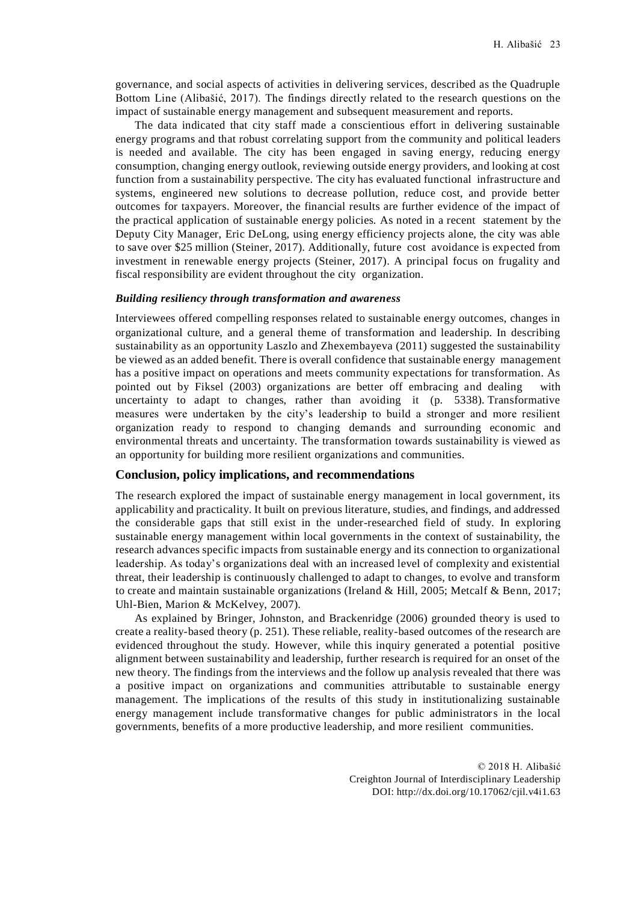governance, and social aspects of activities in delivering services, described as the Quadruple Bottom Line (Alibašić, 2017). The findings directly related to the research questions on the impact of sustainable energy management and subsequent measurement and reports.

The data indicated that city staff made a conscientious effort in delivering sustainable energy programs and that robust correlating support from the community and political leaders is needed and available. The city has been engaged in saving energy, reducing energy consumption, changing energy outlook, reviewing outside energy providers, and looking at cost function from a sustainability perspective. The city has evaluated functional infrastructure and systems, engineered new solutions to decrease pollution, reduce cost, and provide better outcomes for taxpayers. Moreover, the financial results are further evidence of the impact of the practical application of sustainable energy policies. As noted in a recent statement by the Deputy City Manager, Eric DeLong, using energy efficiency projects alone, the city was able to save over \$25 million (Steiner, 2017). Additionally, future cost avoidance is expected from investment in renewable energy projects (Steiner, 2017). A principal focus on frugality and fiscal responsibility are evident throughout the city organization.

### *Building resiliency through transformation and awareness*

Interviewees offered compelling responses related to sustainable energy outcomes, changes in organizational culture, and a general theme of transformation and leadership. In describing sustainability as an opportunity Laszlo and Zhexembayeva (2011) suggested the sustainability be viewed as an added benefit. There is overall confidence that sustainable energy management has a positive impact on operations and meets community expectations for transformation. As pointed out by Fiksel (2003) organizations are better off embracing and dealing with uncertainty to adapt to changes, rather than avoiding it (p. 5338). Transformative measures were undertaken by the city's leadership to build a stronger and more resilient organization ready to respond to changing demands and surrounding economic and environmental threats and uncertainty. The transformation towards sustainability is viewed as an opportunity for building more resilient organizations and communities.

### **Conclusion, policy implications, and recommendations**

The research explored the impact of sustainable energy management in local government, its applicability and practicality. It built on previous literature, studies, and findings, and addressed the considerable gaps that still exist in the under-researched field of study. In exploring sustainable energy management within local governments in the context of sustainability, the research advances specific impacts from sustainable energy and its connection to organizational leadership. As today's organizations deal with an increased level of complexity and existential threat, their leadership is continuously challenged to adapt to changes, to evolve and transform to create and maintain sustainable organizations (Ireland & Hill, 2005; Metcalf & Benn, 2017; Uhl-Bien, Marion & McKelvey, 2007).

As explained by Bringer, Johnston, and Brackenridge (2006) grounded theory is used to create a reality-based theory (p. 251). These reliable, reality-based outcomes of the research are evidenced throughout the study. However, while this inquiry generated a potential positive alignment between sustainability and leadership, further research is required for an onset of the new theory. The findings from the interviews and the follow up analysis revealed that there was a positive impact on organizations and communities attributable to sustainable energy management. The implications of the results of this study in institutionalizing sustainable energy management include transformative changes for public administrators in the local governments, benefits of a more productive leadership, and more resilient communities.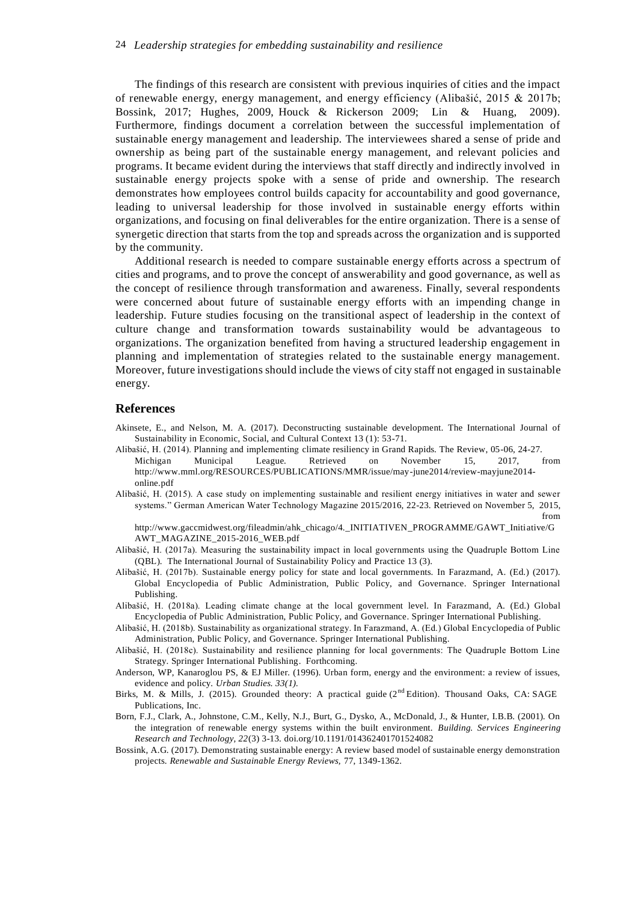The findings of this research are consistent with previous inquiries of cities and the impact of renewable energy, energy management, and energy efficiency (Alibašić, 2015 & 2017b; Bossink, 2017; Hughes, 2009, Houck & Rickerson 2009; Lin & Huang, 2009). Furthermore, findings document a correlation between the successful implementation of sustainable energy management and leadership. The interviewees shared a sense of pride and ownership as being part of the sustainable energy management, and relevant policies and programs. It became evident during the interviews that staff directly and indirectly involved in sustainable energy projects spoke with a sense of pride and ownership. The research demonstrates how employees control builds capacity for accountability and good governance, leading to universal leadership for those involved in sustainable energy efforts within organizations, and focusing on final deliverables for the entire organization. There is a sense of synergetic direction that starts from the top and spreads across the organization and is supported by the community.

Additional research is needed to compare sustainable energy efforts across a spectrum of cities and programs, and to prove the concept of answerability and good governance, as well as the concept of resilience through transformation and awareness. Finally, several respondents were concerned about future of sustainable energy efforts with an impending change in leadership. Future studies focusing on the transitional aspect of leadership in the context of culture change and transformation towards sustainability would be advantageous to organizations. The organization benefited from having a structured leadership engagement in planning and implementation of strategies related to the sustainable energy management. Moreover, future investigations should include the views of city staff not engaged in sustainable energy.

### **References**

- Akinsete, E., and Nelson, M. A. (2017). Deconstructing sustainable development. The International Journal of Sustainability in Economic, Social, and Cultural Context 13 (1): 53-71.
- Alibašić, H. (2014). Planning and implementing climate resiliency in Grand Rapids. The Review, 05-06, 24-27. Michigan Municipal League. Retrieved on November 15, 2017, from [http://www.mml.org/RESOURCES/PUBLICATIONS/MMR/issue/may-june2014/review-mayjune2014](http://www.mml.org/RESOURCES/PUBLICATIONS/MMR/issue/may-june2014/review-mayjune2014-) online.pdf
- Alibašić, H. (2015). A case study on implementing sustainable and resilient energy initiatives in water and sewer systems." German American Water Technology Magazine 2015/2016, 22-23. Retrieved on November 5, 2015, from

[http://www.gaccmidwest.org/fileadmin/ahk\\_chicago/4.\\_INITIATIVEN\\_PROGRAMME/GAWT\\_Initiative/G](http://www.gaccmidwest.org/fileadmin/ahk_chicago/4._INITIATIVEN_PROGRAMME/GAWT_Initiative/G) AWT\_MAGAZINE\_2015-2016\_WEB.pdf

- Alibašić, H. (2017a). Measuring the sustainability impact in local governments using the Quadruple Bottom Line (QBL). The International Journal of Sustainability Policy and Practice 13 (3).
- Alibašić, H. (2017b). Sustainable energy policy for state and local governments. In Farazmand, A. (Ed.) (2017). Global Encyclopedia of Public Administration, Public Policy, and Governance. Springer International Publishing.
- Alibašić, H. (2018a). Leading climate change at the local government level. In Farazmand, A. (Ed.) Global Encyclopedia of Public Administration, Public Policy, and Governance. Springer International Publishing.
- Alibašić, H. (2018b). Sustainability as organizational strategy. In Farazmand, A. (Ed.) Global Encyclopedia of Public Administration, Public Policy, and Governance. Springer International Publishing.
- Alibašić, H. (2018c). Sustainability and resilience planning for local governments: The Quadruple Bottom Line Strategy. Springer International Publishing. Forthcoming.
- Anderson, WP, Kanaroglou PS, & EJ Miller. (1996). Urban form, energy and the environment: a review of issues, evidence and policy. *Urban Studies. 33(1).*
- Birks, M. & Mills, J. (2015). Grounded theory: A practical guide (2<sup>nd</sup> Edition). Thousand Oaks, CA: SAGE Publications, Inc.
- Born, F.J., Clark, A., Johnstone, C.M., Kelly, N.J., Burt, G., Dysko, A., McDonald, J., & Hunter, I.B.B. (2001). On the integration of renewable energy systems within the built environment. *Building. Services Engineering Research and Technology, 22*(3) 3-13. doi.org/10.1191/014362401701524082
- Bossink, A.G. (2017). Demonstrating sustainable energy: A review based model of sustainable energy demonstration projects. *Renewable and Sustainable Energy Reviews,* 77, 1349-1362.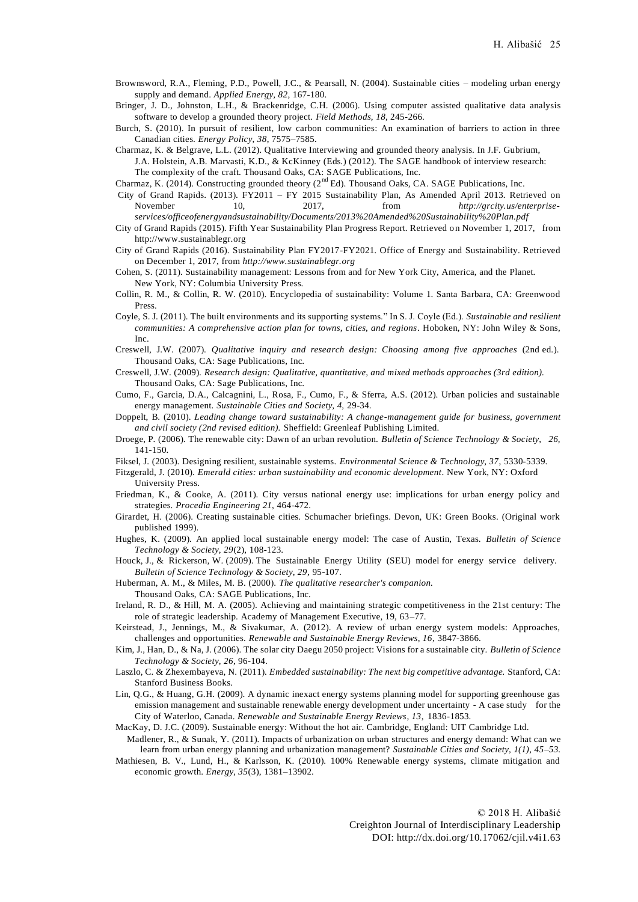- Brownsword, R.A., Fleming, P.D., Powell, J.C., & Pearsall, N. (2004). Sustainable cities modeling urban energy supply and demand. *Applied Energy, 82*, 167-180.
- Bringer, J. D., Johnston, L.H., & Brackenridge, C.H. (2006). Using computer assisted qualitative data analysis software to develop a grounded theory project. *Field Methods, 18*, 245-266.
- Burch, S. (2010). In pursuit of resilient, low carbon communities: An examination of barriers to action in three Canadian cities. *Energy Policy, 38*, 7575–7585.
- Charmaz, K. & Belgrave, L.L. (2012). Qualitative Interviewing and grounded theory analysis. In J.F. Gubrium, J.A. Holstein, A.B. Marvasti, K.D., & KcKinney (Eds.) (2012). The SAGE handbook of interview research: The complexity of the craft. Thousand Oaks, CA: SAGE Publications, Inc.
- Charmaz, K. (2014). Constructing grounded theory ( $2<sup>nd</sup> Ed$ ). Thousand Oaks, CA. SAGE Publications, Inc.
- City of Grand Rapids. (2013). FY2011 FY 2015 Sustainability Plan, As Amended April 2013. Retrieved on November 10, 2017, from *[http://grcity.us/enterprise](http://grcity.us/enterprise-)services/officeofenergyandsustainability/Documents/2013%20Amended%20Sustainability%20Plan.pdf*
- City of Grand Rapids (2015). Fifth Year Sustainability Plan Progress Report. Retrieved on November 1, 2017, from [http://www.sustainablegr.org](http://www.sustainablegr.org/)
- City of Grand Rapids (2016). Sustainability Plan FY2017-FY2021. Office of Energy and Sustainability. Retrieved on December 1, 2017, from *[http://www.sustainablegr.org](http://www.sustainablegr.org/)*
- Cohen, S. (2011). Sustainability management: Lessons from and for New York City, America, and the Planet. New York, NY: Columbia University Press.
- Collin, R. M., & Collin, R. W. (2010). Encyclopedia of sustainability: Volume 1. Santa Barbara, CA: Greenwood Press.
- Coyle, S. J. (2011). The built environments and its supporting systems." In S. J. Coyle (Ed.). *Sustainable and resilient communities: A comprehensive action plan for towns, cities, and regions*. Hoboken, NY: John Wiley & Sons, Inc.
- Creswell, J.W. (2007). *Qualitative inquiry and research design: Choosing among five approaches* (2nd ed.). Thousand Oaks, CA: Sage Publications, Inc.
- Creswell, J.W. (2009). *Research design: Qualitative, quantitative, and mixed methods approaches (3rd edition).* Thousand Oaks, CA: Sage Publications, Inc.
- Cumo, F., Garcia, D.A., Calcagnini, L., Rosa, F., Cumo, F., & Sferra, A.S. (2012). Urban policies and sustainable energy management. *Sustainable Cities and Society, 4,* 29-34.
- Doppelt, B. (2010). *Leading change toward sustainability: A change-management guide for business, government and civil society (2nd revised edition).* Sheffield: Greenleaf Publishing Limited.
- Droege, P. (2006). The renewable city: Dawn of an urban revolution. *Bulletin of Science Technology & Society, 26,* 141-150.
- Fiksel, J. (2003). Designing resilient, sustainable systems. *Environmental Science & Technology, 37*, 5330-5339.
- Fitzgerald, J. (2010). *Emerald cities: urban sustainability and economic development*. New York, NY: Oxford University Press.
- Friedman, K., & Cooke, A. (2011). City versus national energy use: implications for urban energy policy and strategies. *Procedia Engineering 21*, 464-472.
- Girardet, H. (2006). Creating sustainable cities. Schumacher briefings. Devon, UK: Green Books. (Original work published 1999).
- Hughes, K. (2009). An applied local sustainable energy model: The case of Austin, Texas. *Bulletin of Science Technology & Society, 29*(2), 108-123.
- Houck, J., & Rickerson, W. (2009). The Sustainable Energy Utility (SEU) model for energy service delivery. *Bulletin of Science Technology & Society, 29*, 95-107.
- Huberman, A. M., & Miles, M. B. (2000). *The qualitative researcher's companion.* Thousand Oaks, CA: SAGE Publications, Inc.
- Ireland, R. D., & Hill, M. A. (2005). Achieving and maintaining strategic competitiveness in the 21st century: The role of strategic leadership. Academy of Management Executive, 19, 63–77.
- Keirstead, J., Jennings, M., & Sivakumar, A. (2012). A review of urban energy system models: Approaches, challenges and opportunities. *Renewable and Sustainable Energy Reviews, 16*, 3847-3866.
- Kim, J., Han, D., & Na, J. (2006). The solar city Daegu 2050 project: Visions for a sustainable city. *Bulletin of Science Technology & Society, 26*, 96-104.
- Laszlo, C. & Zhexembayeva, N. (2011). *Embedded sustainability: The next big competitive advantage.* Stanford, CA: Stanford Business Books.
- Lin, Q.G., & Huang, G.H. (2009). A dynamic inexact energy systems planning model for supporting greenhouse gas emission management and sustainable renewable energy development under uncertainty - A case study for the City of Waterloo, Canada. *Renewable and Sustainable Energy Reviews, 13*, 1836-1853.
- MacKay, D. J.C. (2009). Sustainable energy: Without the hot air. Cambridge, England: UIT Cambridge Ltd.
- Madlener, R., & Sunak, Y. (2011). Impacts of urbanization on urban structures and energy demand: What can we learn from urban energy planning and urbanization management? *Sustainable Cities and Society, 1(1), 45–53.* Mathiesen, B. V., Lund, H., & Karlsson, K. (2010). 100% Renewable energy systems, climate mitigation and
- economic growth. *Energy, 35*(3), 1381–13902.

© 2018 H. Alibašić Creighton Journal of Interdisciplinary Leadership DOI: [http://dx.doi.org/10.17062/cjil.v4i1.63](http://dx.doi.org/10.17062/CJIL.v3i2.63)